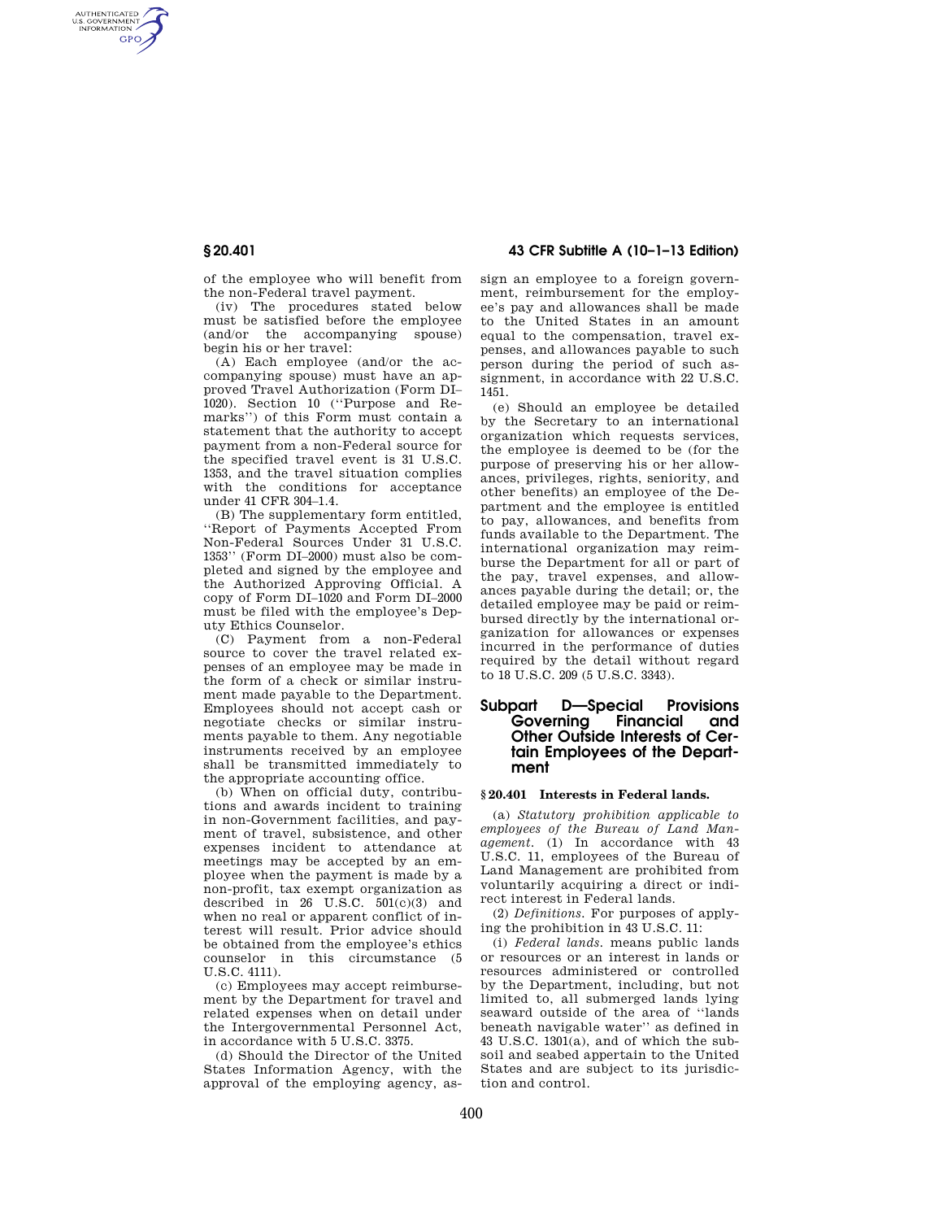AUTHENTICATED<br>U.S. GOVERNMENT<br>INFORMATION **GPO** 

> of the employee who will benefit from the non-Federal travel payment.

> (iv) The procedures stated below must be satisfied before the employee (and/or the accompanying spouse) begin his or her travel:

> (A) Each employee (and/or the accompanying spouse) must have an approved Travel Authorization (Form DI– 1020). Section 10 (''Purpose and Remarks'') of this Form must contain a statement that the authority to accept payment from a non-Federal source for the specified travel event is 31 U.S.C. 1353, and the travel situation complies with the conditions for acceptance under 41 CFR 304–1.4.

> (B) The supplementary form entitled, ''Report of Payments Accepted From Non-Federal Sources Under 31 U.S.C. 1353'' (Form DI–2000) must also be completed and signed by the employee and the Authorized Approving Official. A copy of Form DI–1020 and Form DI–2000 must be filed with the employee's Deputy Ethics Counselor.

> (C) Payment from a non-Federal source to cover the travel related expenses of an employee may be made in the form of a check or similar instrument made payable to the Department. Employees should not accept cash or negotiate checks or similar instruments payable to them. Any negotiable instruments received by an employee shall be transmitted immediately to the appropriate accounting office.

> (b) When on official duty, contributions and awards incident to training in non-Government facilities, and payment of travel, subsistence, and other expenses incident to attendance at meetings may be accepted by an employee when the payment is made by a non-profit, tax exempt organization as described in  $26$  U.S.C.  $501(c)(3)$  and when no real or apparent conflict of interest will result. Prior advice should be obtained from the employee's ethics counselor in this circumstance (5  $U.S.C. 4111$

> (c) Employees may accept reimbursement by the Department for travel and related expenses when on detail under the Intergovernmental Personnel Act, in accordance with 5 U.S.C. 3375.

> (d) Should the Director of the United States Information Agency, with the approval of the employing agency, as-

**§ 20.401 43 CFR Subtitle A (10–1–13 Edition)** 

sign an employee to a foreign government, reimbursement for the employee's pay and allowances shall be made to the United States in an amount equal to the compensation, travel expenses, and allowances payable to such person during the period of such assignment, in accordance with 22 U.S.C. 1451.

(e) Should an employee be detailed by the Secretary to an international organization which requests services, the employee is deemed to be (for the purpose of preserving his or her allowances, privileges, rights, seniority, and other benefits) an employee of the Department and the employee is entitled to pay, allowances, and benefits from funds available to the Department. The international organization may reimburse the Department for all or part of the pay, travel expenses, and allowances payable during the detail; or, the detailed employee may be paid or reimbursed directly by the international organization for allowances or expenses incurred in the performance of duties required by the detail without regard to 18 U.S.C. 209 (5 U.S.C. 3343).

## **Subpart D—Special Provisions Governing Financial and Other Outside Interests of Certain Employees of the Department**

## **§ 20.401 Interests in Federal lands.**

(a) *Statutory prohibition applicable to employees of the Bureau of Land Management.* (1) In accordance with 43 U.S.C. 11, employees of the Bureau of Land Management are prohibited from voluntarily acquiring a direct or indirect interest in Federal lands.

(2) *Definitions.* For purposes of applying the prohibition in 43 U.S.C. 11:

(i) *Federal lands.* means public lands or resources or an interest in lands or resources administered or controlled by the Department, including, but not limited to, all submerged lands lying seaward outside of the area of ''lands beneath navigable water'' as defined in 43 U.S.C. 1301(a), and of which the subsoil and seabed appertain to the United States and are subject to its jurisdiction and control.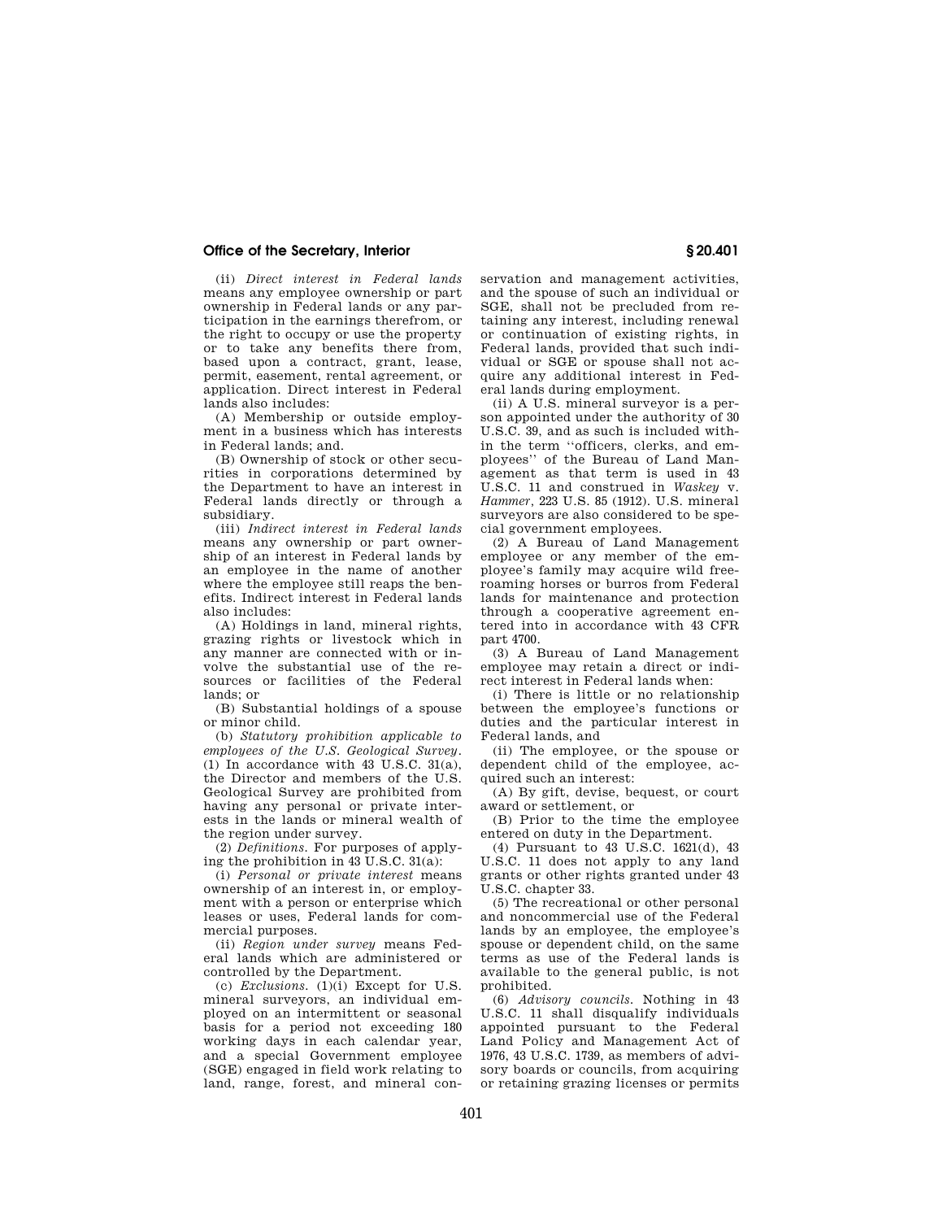## **Office of the Secretary, Interior § 20.401**

(ii) *Direct interest in Federal lands*  means any employee ownership or part ownership in Federal lands or any participation in the earnings therefrom, or the right to occupy or use the property or to take any benefits there from, based upon a contract, grant, lease, permit, easement, rental agreement, or application. Direct interest in Federal lands also includes:

(A) Membership or outside employment in a business which has interests in Federal lands; and.

(B) Ownership of stock or other securities in corporations determined by the Department to have an interest in Federal lands directly or through a subsidiary.

(iii) *Indirect interest in Federal lands*  means any ownership or part ownership of an interest in Federal lands by an employee in the name of another where the employee still reaps the benefits. Indirect interest in Federal lands also includes:

(A) Holdings in land, mineral rights, grazing rights or livestock which in any manner are connected with or involve the substantial use of the resources or facilities of the Federal lands; or

(B) Substantial holdings of a spouse or minor child.

(b) *Statutory prohibition applicable to employees of the U.S. Geological Survey.*  (1) In accordance with 43 U.S.C. 31(a), the Director and members of the U.S. Geological Survey are prohibited from having any personal or private interests in the lands or mineral wealth of the region under survey.

(2) *Definitions.* For purposes of applying the prohibition in 43 U.S.C. 31(a):

(i) *Personal or private interest* means ownership of an interest in, or employment with a person or enterprise which leases or uses, Federal lands for commercial purposes.

(ii) *Region under survey* means Federal lands which are administered or controlled by the Department.

(c) *Exclusions.* (1)(i) Except for U.S. mineral surveyors, an individual employed on an intermittent or seasonal basis for a period not exceeding 180 working days in each calendar year, and a special Government employee (SGE) engaged in field work relating to land, range, forest, and mineral conservation and management activities, and the spouse of such an individual or SGE, shall not be precluded from retaining any interest, including renewal or continuation of existing rights, in Federal lands, provided that such individual or SGE or spouse shall not acquire any additional interest in Federal lands during employment.

(ii) A U.S. mineral surveyor is a person appointed under the authority of 30 U.S.C. 39, and as such is included within the term ''officers, clerks, and employees'' of the Bureau of Land Management as that term is used in 43 U.S.C. 11 and construed in *Waskey* v. *Hammer,* 223 U.S. 85 (1912). U.S. mineral surveyors are also considered to be special government employees.

(2) A Bureau of Land Management employee or any member of the employee's family may acquire wild freeroaming horses or burros from Federal lands for maintenance and protection through a cooperative agreement entered into in accordance with 43 CFR part 4700.

(3) A Bureau of Land Management employee may retain a direct or indirect interest in Federal lands when:

(i) There is little or no relationship between the employee's functions or duties and the particular interest in Federal lands, and

(ii) The employee, or the spouse or dependent child of the employee, acquired such an interest:

(A) By gift, devise, bequest, or court award or settlement, or

(B) Prior to the time the employee entered on duty in the Department.

(4) Pursuant to 43 U.S.C. 1621(d), 43 U.S.C. 11 does not apply to any land grants or other rights granted under 43 U.S.C. chapter 33.

(5) The recreational or other personal and noncommercial use of the Federal lands by an employee, the employee's spouse or dependent child, on the same terms as use of the Federal lands is available to the general public, is not prohibited.

(6) *Advisory councils.* Nothing in 43 U.S.C. 11 shall disqualify individuals appointed pursuant to the Federal Land Policy and Management Act of 1976, 43 U.S.C. 1739, as members of advisory boards or councils, from acquiring or retaining grazing licenses or permits